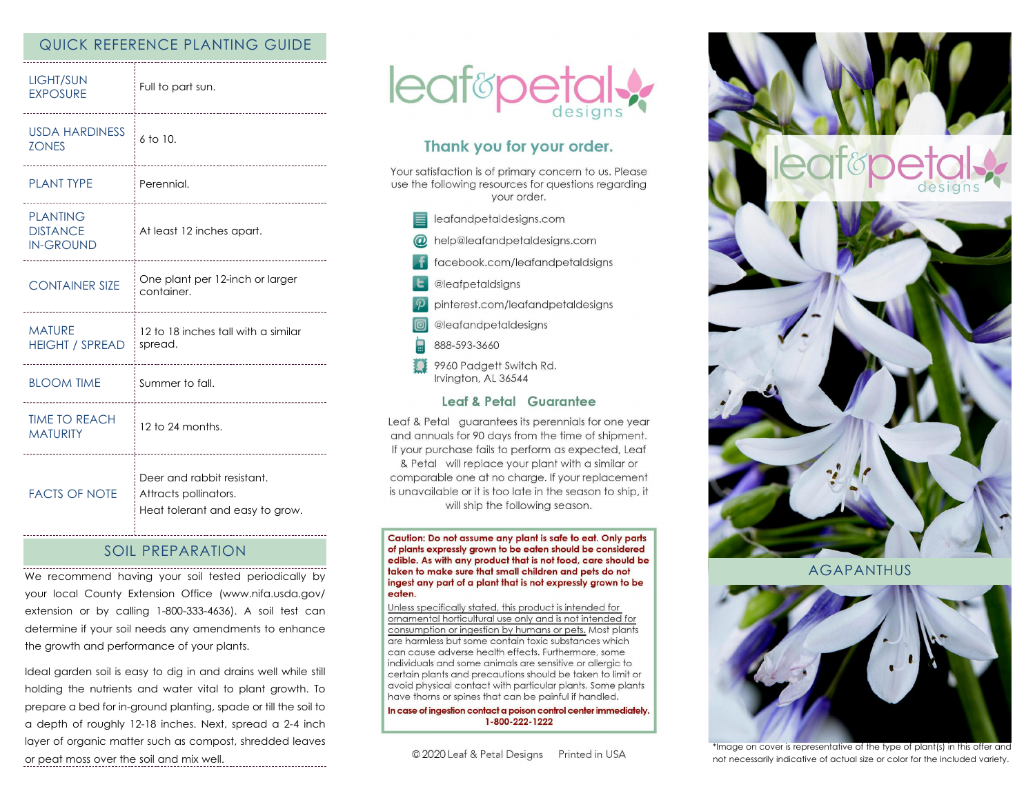### QUICK REFERENCE PLANTING GUIDE

| <b>LIGHT/SUN</b><br><b>EXPOSURE</b>                    | Full to part sun.                                                                      |
|--------------------------------------------------------|----------------------------------------------------------------------------------------|
| <b>USDA HARDINESS</b><br><b>ZONES</b>                  | $6$ to $10$ .                                                                          |
| <b>PLANT TYPE</b>                                      | Perennial.                                                                             |
| <b>PLANTING</b><br><b>DISTANCE</b><br><b>IN-GROUND</b> | At least 12 inches apart.                                                              |
| <b>CONTAINER SIZE</b>                                  | One plant per 12-inch or larger<br>container.                                          |
| <b>MATURE</b><br><b>HEIGHT / SPREAD</b>                | 12 to 18 inches tall with a similar<br>spread.                                         |
| <b>BLOOM TIME</b>                                      | Summer to fall.<br>---------------------                                               |
| <b>TIME TO REACH</b><br><b>MATURITY</b>                | 12 to 24 months.                                                                       |
| <b>FACTS OF NOTE</b>                                   | Deer and rabbit resistant.<br>Attracts pollinators.<br>Heat tolerant and easy to grow. |

### SOIL PREPARATION

We recommend having your soil tested periodically by your local County Extension Office (www.nifa.usda.gov/ extension or by calling 1-800-333-4636). A soil test can determine if your soil needs any amendments to enhance the growth and performance of your plants.

Ideal garden soil is easy to dig in and drains well while still holding the nutrients and water vital to plant growth. To prepare a bed for in-ground planting, spade or till the soil to a depth of roughly 12-18 inches. Next, spread a 2-4 inch layer of organic matter such as compost, shredded leaves or peat moss over the soil and mix well.



# Thank you for your order.

Your satisfaction is of primary concern to us. Please use the following resources for questions regarding your order.

- $\equiv$  leafandpetaldesigns.com
- @ help@leafandpetaldesigns.com
	- facebook.com/leafandpetaldsigns
- **L** @leafpetaldsigns
- pinterest.com/leafandpetaldesigns
- @leafandpetaldesigns
- 888-593-3660
- 9960 Padgett Switch Rd. Irvington, AL 36544

### Leaf & Petal Guarantee

Leaf & Petal guarantees its perennials for one year and annuals for 90 days from the time of shipment. If your purchase fails to perform as expected, Leaf & Petal will replace your plant with a similar or comparable one at no charge. If your replacement is unavailable or it is too late in the season to ship, it will ship the following season.

Caution: Do not assume any plant is safe to eat. Only parts of plants expressly grown to be eaten should be considered edible. As with any product that is not food, care should be taken to make sure that small children and pets do not ingest any part of a plant that is not expressly grown to be eaten.

Unless specifically stated, this product is intended for ornamental horticultural use only and is not intended for consumption or ingestion by humans or pets. Most plants are harmless but some contain toxic substances which can cause adverse health effects. Furthermore, some individuals and some animals are sensitive or allergic to certain plants and precautions should be taken to limit or avoid physical contact with particular plants. Some plants have thorns or spines that can be painful if handled.

In case of ingestion contact a poison control center immediately. 1-800-222-1222

© 2020 Leaf & Petal Designs Printed in USA



AGAPANTHUS



\*Image on cover is representative of the type of plant(s) in this offer and not necessarily indicative of actual size or color for the included variety.